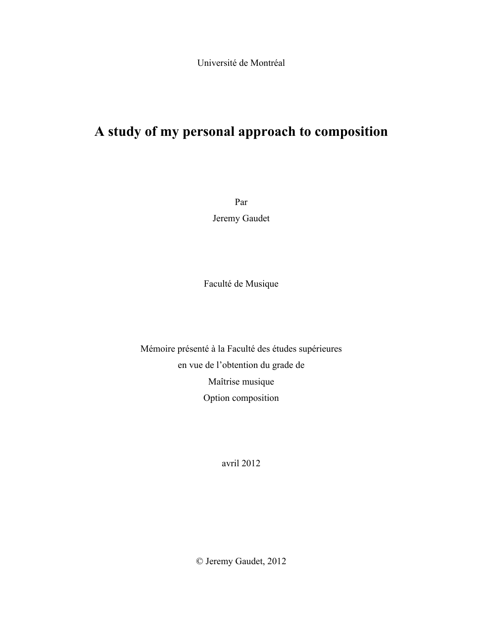Université de Montréal

# **A study of my personal approach to composition**

Par Jeremy Gaudet

Faculté de Musique

Mémoire présenté à la Faculté des études supérieures en vue de l'obtention du grade de Maîtrise musique Option composition

avril 2012

© Jeremy Gaudet, 2012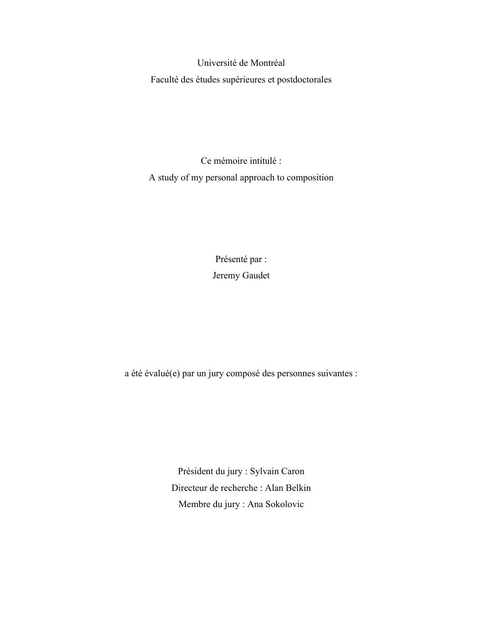Université de Montréal Faculté des études supérieures et postdoctorales

Ce mémoire intitulé : A study of my personal approach to composition

> Présenté par : Jeremy Gaudet

a été évalué(e) par un jury composé des personnes suivantes :

Président du jury : Sylvain Caron Directeur de recherche : Alan Belkin Membre du jury : Ana Sokolovic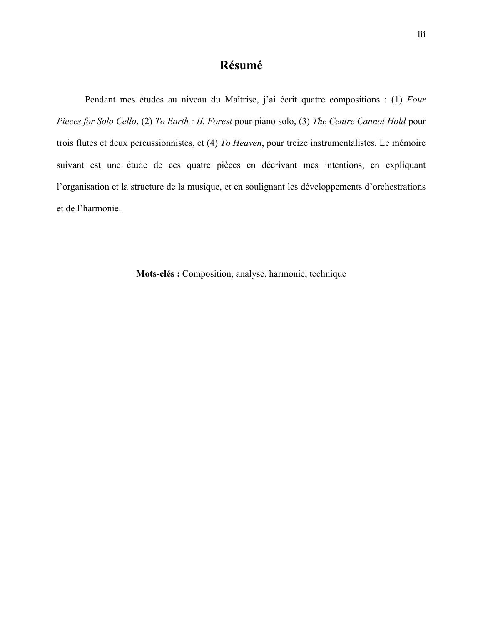#### **Résumé**

Pendant mes études au niveau du Maîtrise, j'ai écrit quatre compositions : (1) *Four Pieces for Solo Cello*, (2) *To Earth : II. Forest* pour piano solo, (3) *The Centre Cannot Hold* pour trois flutes et deux percussionnistes, et (4) *To Heaven*, pour treize instrumentalistes. Le mémoire suivant est une étude de ces quatre pièces en décrivant mes intentions, en expliquant l'organisation et la structure de la musique, et en soulignant les développements d'orchestrations et de l'harmonie.

**Mots-clés :** Composition, analyse, harmonie, technique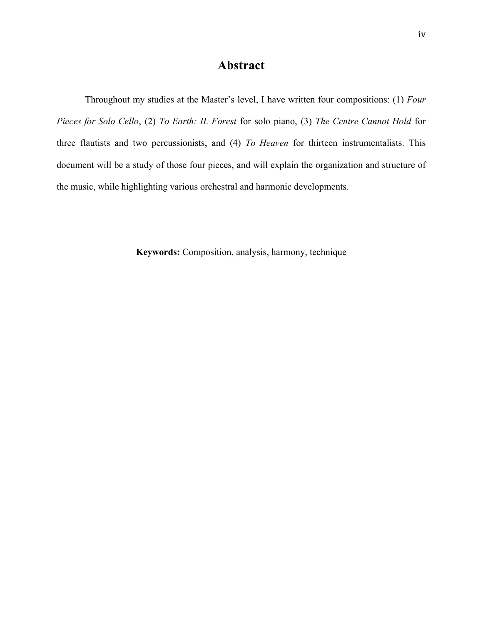### **Abstract**

Throughout my studies at the Master's level, I have written four compositions: (1) *Four Pieces for Solo Cello*, (2) *To Earth: II. Forest* for solo piano, (3) *The Centre Cannot Hold* for three flautists and two percussionists, and (4) *To Heaven* for thirteen instrumentalists. This document will be a study of those four pieces, and will explain the organization and structure of the music, while highlighting various orchestral and harmonic developments.

**Keywords:** Composition, analysis, harmony, technique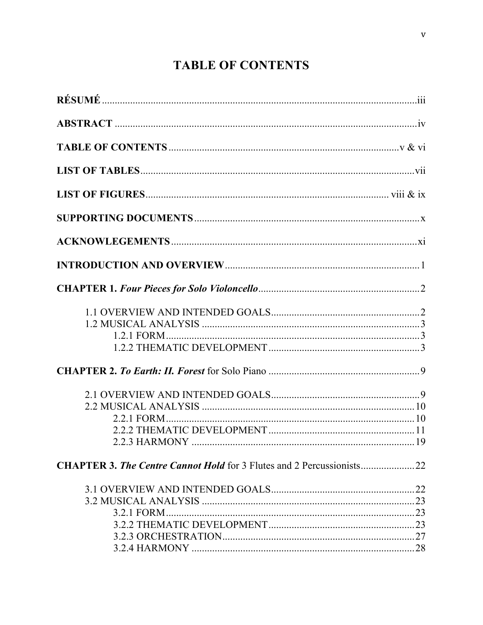# **TABLE OF CONTENTS**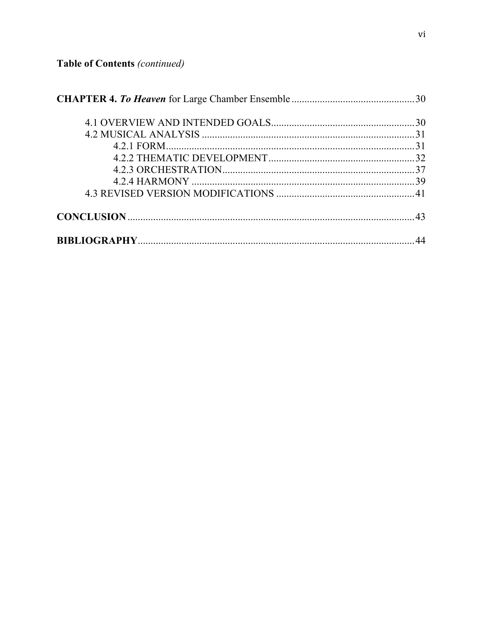Table of Contents (continued)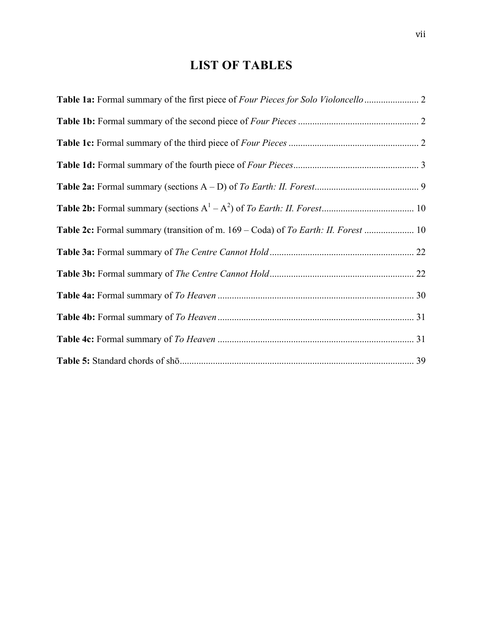## **LIST OF TABLES**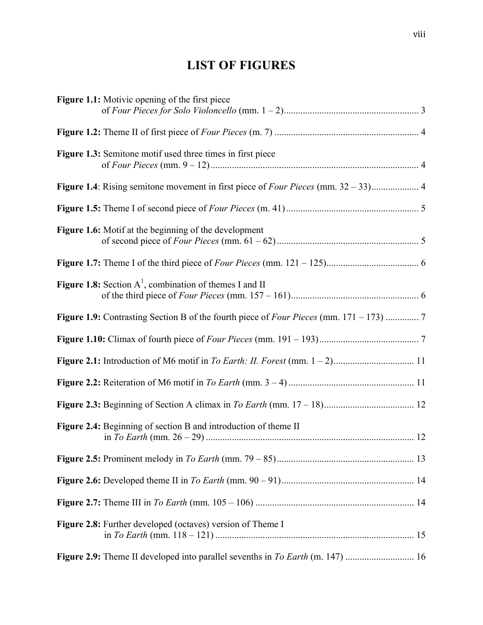## **LIST OF FIGURES**

| Figure 1.1: Motivic opening of the first piece                                 |  |
|--------------------------------------------------------------------------------|--|
|                                                                                |  |
| <b>Figure 1.3:</b> Semitone motif used three times in first piece              |  |
|                                                                                |  |
|                                                                                |  |
| <b>Figure 1.6:</b> Motif at the beginning of the development                   |  |
|                                                                                |  |
| <b>Figure 1.8:</b> Section $A^1$ , combination of themes I and II              |  |
|                                                                                |  |
|                                                                                |  |
|                                                                                |  |
|                                                                                |  |
|                                                                                |  |
| Figure 2.4: Beginning of section B and introduction of theme II                |  |
|                                                                                |  |
|                                                                                |  |
|                                                                                |  |
| <b>Figure 2.8:</b> Further developed (octaves) version of Theme I              |  |
| Figure 2.9: Theme II developed into parallel sevenths in To Earth (m. 147)  16 |  |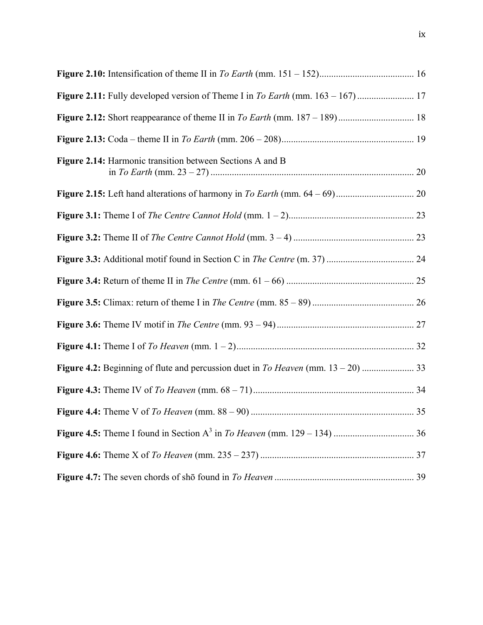| Figure 2.14: Harmonic transition between Sections A and B |  |
|-----------------------------------------------------------|--|
|                                                           |  |
|                                                           |  |
|                                                           |  |
|                                                           |  |
|                                                           |  |
|                                                           |  |
|                                                           |  |
|                                                           |  |
|                                                           |  |
|                                                           |  |
|                                                           |  |
|                                                           |  |
|                                                           |  |
|                                                           |  |